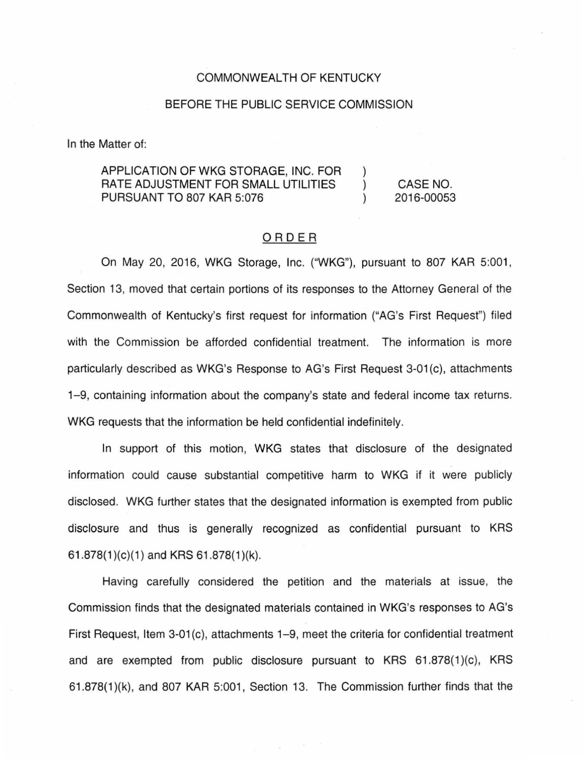## COMMONWEALTH OF KENTUCKY

## BEFORE THE PUBLIC SERVICE COMMISSION

In the Matter of:

## APPLICATION OF WKG STORAGE, INC. FOR RATE ADJUSTMENT FOR SMALL UTILITIES PURSUANT TO 807 KAR 5:076

CASE NO. 2016-00053

) ) )

## ORDER

On May 20, 2016, WKG Storage, Inc. ("WKG"), pursuant to 807 KAR 5:001 , Section 13, moved that certain portions of its responses to the Attorney General of the Commonwealth of Kentucky's first request for information ("AG's First Request") filed with the Commission be afforded confidential treatment. The information is more particularly described as WKG's Response to AG's First Request 3-01 (c), attachments 1-9, containing information about the company's state and federal income tax returns. WKG requests that the information be held confidential indefinitely.

In support of this motion, WKG states that disclosure of the designated information could cause substantial competitive harm to WKG if it were publicly disclosed. WKG further states that the designated information is exempted from public disclosure and thus is generally recognized as confidential pursuant to KRS 61.878 $(1)(c)(1)$  and KRS 61.878 $(1)(k)$ .

Having carefully considered the petition and the materials at issue, the Commission finds that the designated materials contained in WKG's responses to AG's First Request, Item 3-01(c), attachments 1-9, meet the criteria for confidential treatment and are exempted from public disclosure pursuant to KRS 61.878(1)(c), KRS 61 .878(1 )(k), and 807 KAR 5:001 , Section 13. The Commission further finds that the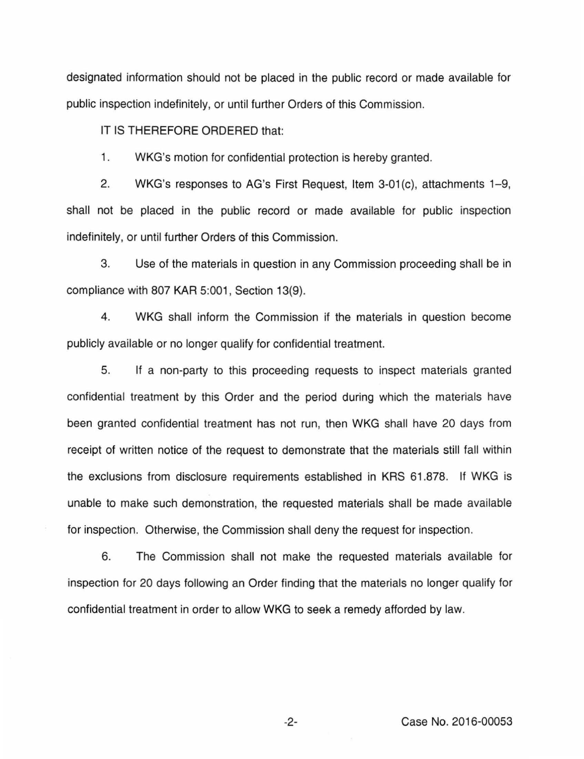designated information should not be placed in the public record or made available for public inspection indefinitely, or until further Orders of this Commission.

IT IS THEREFORE ORDERED that:

1. WKG's motion for confidential protection is hereby granted.

2. WKG's responses to AG's First Request, Item 3-01(c), attachments 1-9, shall not be placed in the public record or made available for public inspection indefinitely, or until further Orders of this Commission.

3. Use of the materials in question in any Commission proceeding shall be in compliance with 807 KAR 5:001, Section 13(9).

4. WKG shall inform the Commission if the materials in question become publicly available or no longer qualify for confidential treatment.

5. If a non-party to this proceeding requests to inspect materials granted confidential treatment by this Order and the period during which the materials have been granted confidential treatment has not run, then WKG shall have 20 days from receipt of written notice of the request to demonstrate that the materials still fall within the exclusions from disclosure requirements established in KRS 61 .878. If WKG is unable to make such demonstration, the requested materials shall be made available for inspection. Otherwise, the Commission shall deny the request for inspection.

6. The Commission shall not make the requested materials available for inspection for 20 days following an Order finding that the materials no longer qualify for confidential treatment in order to allow WKG to seek a remedy afforded by law.

-2- Case No. 2016-00053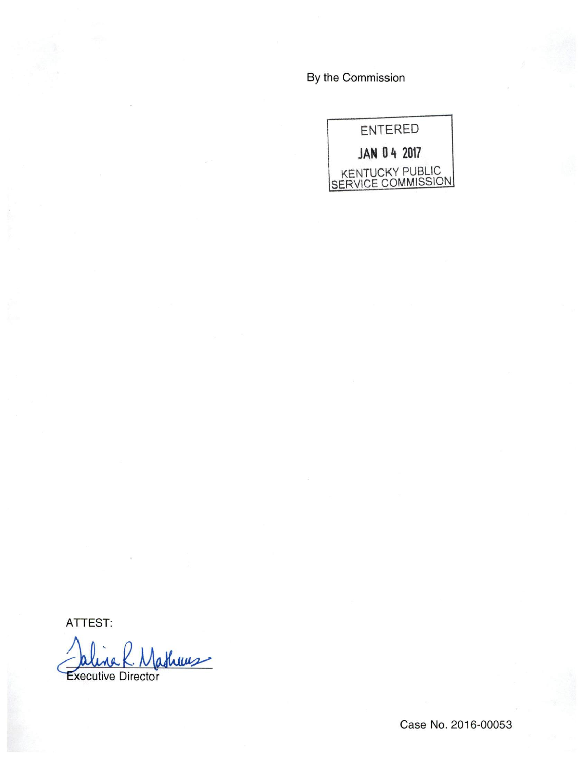By the Commission



ATTEST:

athers **Executive Director** 

Case No. 2016-00053